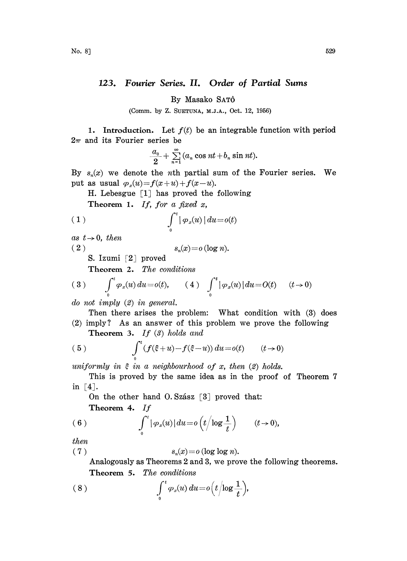## 123. Fourier Series. II. Order of Partial Sums

By Masako SAT6

(Comm. by Z. SUETUNA, M.J.A., Oct. 12, 1956)

1. Introduction. Let  $f(t)$  be an integrable function with period  $2\pi$  and its Fourier series be

$$
\frac{a_0}{2} + \sum_{n=1}^{\infty} (a_n \cos nt + b_n \sin nt).
$$

By  $s_n(x)$  we denote the *n*th partial sum of the Fourier series. We put as usual  $\varphi_x(u) = f(x + u) + f(x - u)$ .

H. Lebesgue  $[1]$  has proved the following

Theorem 1. If, for a fixed x,

$$
\int_{0}^{t} |\varphi_x(u)| du = o(t)
$$

as  $t\rightarrow 0$ , then

(2)  $s_n(x) = o(\log n).$ 

S. Izumi [2] proved

Theorem 2. The conditions

(3) 
$$
\int_{0}^{t} \varphi_x(u) du = o(t), \qquad (4) \int_{0}^{t} |\varphi_x(u)| du = O(t) \qquad (t \to 0)
$$

do not imply (2) in general.

Then there arises the problem: What condition with (3) does (2) imply? As an answer of this problem we prove the following

**Theorem 3.** If  $(\mathcal{S})$  holds and

(5) 
$$
\int_{0}^{t} (f(\xi+u)-f(\xi-u)) du = o(t) \qquad (t\to 0)
$$

uniformly in  $\xi$  in a neighbourhood of x, then (2) holds.

This is proved by the same idea as in the proof of Theorem 7 in  $[4]$ .

On the other hand O. Szász  $\lceil 3 \rceil$  proved that: Theorem 4. If

(6) 
$$
\int_0^t |\varphi_x(u)| du = o\left(t/\log\frac{1}{t}\right) \qquad (t\to 0),
$$

then

$$
(7) \t\t sn(x) = o(\log \log n).
$$

Analogously as Theorems 2 and 3, we prove the following theorems. Theorem 5. The conditions

$$
(8) \qquad \qquad \int_{0}^{t} \varphi_x(u) \, du = o\Big(t\Big/\!\log\frac{1}{t}\Big),
$$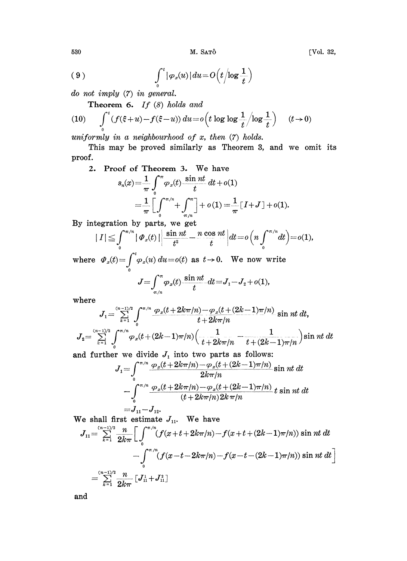M. SATÔ

$$
(9) \qquad \qquad \int_{0}^{t} |\varphi_x(u)| \, du = O\Big(t\Big/\!\!\log\frac{1}{t}\Big)
$$

do not imply  $(7)$  in general.

Theorem 6. If  $(8)$  holds and

(10) 
$$
\int_0^t (f(\xi+u)-f(\xi-u)) du = o\left(t \log \log \frac{1}{t}/\log \frac{1}{t}\right) \qquad (t \to 0)
$$

uniformly in a neighbourhood of  $x$ , then  $(7)$  holds.

This may be proved similarly as Theorem 3, and we omit its proof.

2. Proof of Theorem 3. We have

$$
s_n(x) = \frac{1}{\pi} \int_0^{\pi} \varphi_x(t) \frac{\sin nt}{t} dt + o(1)
$$
  
= 
$$
\frac{1}{\pi} \left[ \int_0^{\pi/n} + \int_{\pi/n}^{\pi} \right] + o(1) = \frac{1}{\pi} \left[ I + J \right] + o(1).
$$

By integration by parts, we get

$$
|\,I\,|\leqq\int\limits_0^{\pi/n}|\,\varPhi_x(t)\,|\bigg|\frac{\sin nt}{t^2}-\frac{n\,\cos\,nt}{t}\,\bigg|dt\!=\!o\Big(n\int\limits_0^{\pi/n}dt\Big)\!=\!o(1),
$$

where  $\varPhi_x(t) = \int_0^t \varphi_x(u) du = o(t)$  as  $t \to 0$ . We now write

$$
J = \int_{\pi/n}^{\pi} \varphi_x(t) \frac{\sin nt}{t} dt = J_1 - J_2 + o(1),
$$

where

$$
J_1 = \sum_{k=1}^{(n-1)/2} \int_0^{\pi/n} \frac{\varphi_x(t+2k\pi/n) - \varphi_x(t+(2k-1)\pi/n)}{t+2k\pi/n} \sin nt \, dt,
$$
  

$$
J_2 = \sum_{k=1}^{(n-1)/2} \int_0^{\pi/n} \varphi_x(t+(2k-1)\pi/n) \Big( \frac{1}{t+2k\pi/n} - \frac{1}{t+(2k-1)\pi/n} \Big) \sin nt \, dt
$$

and further we divide  $J_1$  into two parts as follows:

$$
J_{1} = \int_{0}^{\pi/n} \frac{\varphi_{x}(t+2k\pi/n) - \varphi_{x}(t+(2k-1)\pi/n)}{2k\pi/n} \sin nt \, dt
$$
  

$$
- \int_{0}^{\pi/n} \frac{\varphi_{x}(t+2k\pi/n) - \varphi_{x}(t+(2k-1)\pi/n)}{(t+2k\pi/n)2k\pi/n} t \sin nt \, dt
$$
  

$$
= J_{11} - J_{12}.
$$

We shall first estimate  $J_{11}$ . We have

$$
J_{11} = \sum_{k=1}^{(n-1)/2} \frac{n}{2k\pi} \Bigg[ \int_0^{\pi/n} (f(x+t+2k\pi/n) - f(x+t+(2k-1)\pi/n)) \sin nt \ dt \\ - \int_0^{\pi/n} (f(x-t-2k\pi/n) - f(x-t-(2k-1)\pi/n)) \sin nt \ dt \Bigg]
$$
  
= 
$$
\sum_{k=1}^{(n-1)/2} \frac{n}{2k\pi} [J_{11}^1 + J_{11}^2]
$$

and

[Vol. 32,

530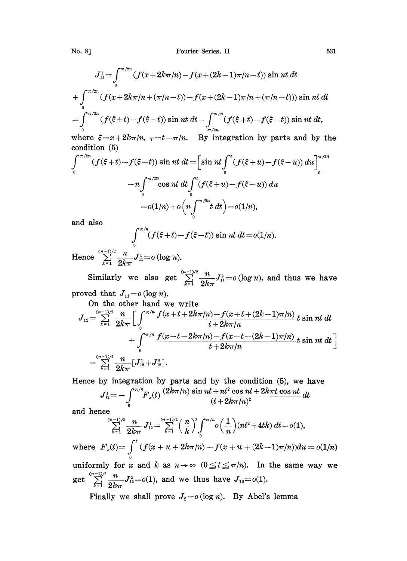No. 8] **Fourier Series. II** 531

$$
J_{11}^{1} = \int_{0}^{\pi/2n} (f(x+2k\pi/n) - f(x+(2k-1)\pi/n-t)) \sin nt \, dt
$$
  
+ 
$$
\int_{0}^{\pi/2n} (f(x+2k\pi/n+(\pi/n-t)) - f(x+(2k-1)\pi/n+(\pi/n-t))) \sin nt \, dt
$$
  
= 
$$
\int_{0}^{\pi/2n} (f(\xi+t) - f(\xi-t)) \sin nt \, dt - \int_{\pi/2n}^{\pi/n} (f(\xi+t) - f(\xi-t)) \sin nt \, dt,
$$

where  $\xi = x + 2k\pi/n$ ,  $\tau = t - \pi/n$ . By integration by parts and by the condition (5)

$$
\int_{0}^{\pi/2n} (f(\xi+t) - f(\xi-t)) \sin nt \, dt = \left[ \sin nt \int_{0}^{t} (f(\xi+u) - f(\xi-u)) \, du \right]_{0}^{\pi/2n}
$$

$$
-n \int_{0}^{\pi/2n} \cos nt \, dt \int_{0}^{t} (f(\xi+u) - f(\xi-u)) \, du
$$

$$
= o(1/n) + o\left(n \int_{0}^{\pi/2n} t \, dt\right) = o(1/n),
$$

and also

$$
\int_0^{\pi/n} (f(\xi+t)-f(\xi-t)) \sin nt \, dt = o(1/n).
$$

Hence  $\sum_{n=0}^{\infty} \frac{n}{2} J_{n}^{1} = o(\log n).$ 

Similarly we also get  $\sum_{k=1}^{\infty} \frac{n}{2k\pi} J_{11}^2 = o(\log n)$ , and thus we have ed that  $J_{11} = o(\log n)$ .

proved that  $J_{11}=o$  (log n).

On the other hand we write

$$
J_{12} = \sum_{k=1}^{(n-1)/2} \frac{n}{2k\pi} \Bigg[ \int_0^{\pi/n} \frac{f(x+t+2k\pi/n) - f(x+t+(2k-1)\pi/n)}{t+2k\pi/n} t \sin nt \, dt + \int_0^{\pi/n} \frac{f(x-t-2k\pi/n) - f(x-t-(2k-1)\pi/n)}{t+2k\pi/n} t \sin nt \, dt \Bigg]
$$
  
=  $\sum_{k=1}^{(n-1)/2} \frac{n}{2k\pi} [J_{12}^1 + J_{12}^2].$ 

Hence by integration by parts and by the condition (5), we have

$$
J_{12}^1 = -\int_0^{\pi/n} F_x(t) \frac{(2k\pi/n)\sin nt + nt^2\cos nt + 2k\pi t\cos nt}{(t + 2k\pi/n)^2} dt
$$

and hence

$$
\sum_{k=1}^{(n-1)/2} \frac{n}{2k\pi} J_{12}^1 = \sum_{k=1}^{(n-1)/2} \left(\frac{n}{k}\right)^3 \int_0^{\pi/n} o\left(\frac{1}{n}\right) (nt^2 + 4tk) \, dt = o(1),
$$

 $\frac{1}{k}$ )  $\int_{0}^{k} o(\frac{1}{n}) (nt^2 + 4tk) dt = o(1),$ <br>  $2k\pi/n$ )  $-f(x + u + (2k-1)\pi/n))du$ <br>  $\Rightarrow \infty$   $(0 \le t \le \pi/n)$ . In the same where  $F_x(t) = \int (f(x + u + 2k\pi/n) - f(x + u + (2k-1)\pi/n))du = o(1/n)$ uniformly for x and k as  $n \to \infty$   $(0 \le t \le \pi/n)$ . In the same way we get  $\sum_{k=1}^{(n-1)/2} \frac{n}{2k\pi} J_{12}^2 = o(1)$ , and we thus have  $J_{12} = o(1)$ .

Finally we shall prove  $J_2 = o(\log n)$ . By Abel's lemma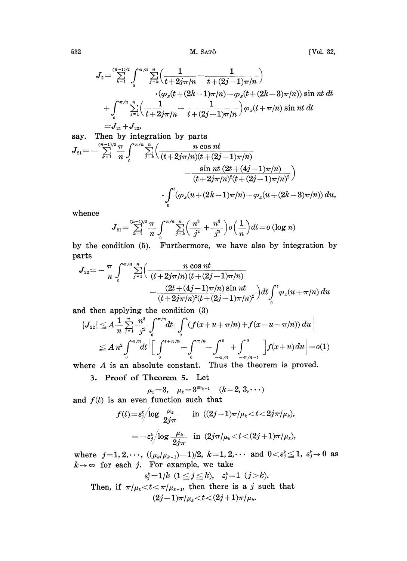$$
J_2 = \sum_{k=1}^{(n-1)/2} \int_0^{\pi/n} \sum_{j=k}^n \left( \frac{1}{t+2j\pi/n} - \frac{1}{t+(2j-1)\pi/n} \right) \\ \cdot \left( \varphi_x (t+(2k-1)\pi/n) - \varphi_x (t+(2k-3)\pi/n) \right) \sin nt \ dt \\ + \int_0^{\pi/n} \sum_{j=1}^n \left( \frac{1}{t+2j\pi/n} - \frac{1}{t+(2j-1)\pi/n} \right) \varphi_x (t+\pi/n) \sin nt \ dt \\ = J_{21} + J_{22},
$$

say. Then by integration by parts  
\n
$$
J_{21} = -\sum_{k=1}^{(n-1)/2} \frac{\pi}{n} \int_{0}^{\pi/n} \sum_{j=k}^{n} \left( \frac{n \cos nt}{(t+2j\pi/n)(t+(2j-1)\pi/n)} - \frac{\sin nt (2t+(4j-1)\pi/n)}{(t+2j\pi/n)^2(t+(2j-1)\pi/n)^2} \right)
$$
\n
$$
\cdot \int_{0}^{t} (\varphi_x(u+(2k-1)\pi/n) - \varphi_x(u+(2k-3)\pi/n)) du,
$$

whence

$$
J_{21} = \sum_{k=1}^{(n-1)/2} \frac{\pi}{n} \int_0^{\pi/n} \sum_{j=k}^n \left( \frac{n^3}{j^2} + \frac{n^3}{j^3} \right) o\left(\frac{1}{n}\right) dt = o(\log n)
$$

by the condition (5). Furthermore, we have also by integration by parts

$$
J_{22} = -\frac{\pi}{n} \int_{0}^{\pi/n} \sum_{j=1}^{n} \left( \frac{n \cos nt}{(t+2j\pi/n)(t+(2j-1)\pi/n)} -\frac{(2t+(4j-1)\pi/n)\sin nt}{(t+2j\pi/n)^2(t+(2j-1)\pi/n)^2} \right) dt \int_{0}^{t} \varphi_x(u+\pi/n) du
$$

and then applying the condition  $(3)$ 

$$
|J_{22}| \leq A \frac{1}{n} \sum_{j=1}^{n} \frac{n^{3}}{j^{2}} \int_{0}^{\pi/n} dt \left| \int_{0}^{t} (f(x+u+\pi/n)+f(x-u-\pi/n)) du \right|
$$
  

$$
\leq A n^{2} \int_{0}^{\pi/n} dt \left| \left[ \int_{0}^{t+\pi/n} - \int_{0}^{\pi/n} - \int_{-\pi/n}^{0} + \int_{-\pi/n-t}^{0} \right] f(x+u) du \right| = o(1)
$$

where  $A$  is an absolute constant. Thus the theorem is proved.

3. Proof of Theorem 5. Let

$$
\mu_1=3
$$
,  $\mu_k=3^{2\mu_{k-1}}$   $(k=2,3,\cdots)$ 

and  $f(t)$  is an even function such that

$$
\begin{array}{ll} f(t) \! = \! \varepsilon^{\! \rm k}_j \!\! \left/ \! \log \frac{\mu_{\rm k}}{2j \pi} \right. & \text { in } \; ((2j \! - \! 1) \pi/\mu_{\rm k} \! < \! t \! < \! 2j \pi/\mu_{\rm k}), \\ \! \! \! \! \! \! \! = \! - \varepsilon^{\! \rm k}_j \!\! \left/ \! \log \frac{\mu_{\rm k}}{2j \pi} \right. & \text { in } \; (2j \pi/\mu_{\rm k} \! < \! t \! < \! (2j \! + \! 1) \pi/\mu_{\rm k}), \end{array}
$$

where  $j=1, 2, \dots$ ,  $((\mu_k/\mu_{k-1})-1)/2$ ,  $k=1, 2, \dots$  and  $0 < \varepsilon_j^k \leq 1$ ,  $\varepsilon_j^k \to 0$  as  $k \to \infty$  for each j. For example, we take

$$
\varepsilon_j^k{=}1/k\ \ (1{\,\leq\,} j{\,\leq\,} k),\quad \varepsilon_j^k{=}1\ \ (j{>}k).
$$

Then, if  $\pi/\mu_k < t < \pi/\mu_{k-1}$ , then there is a j such that  $(2j-1)\pi/\mu_k < t < (2j+1)\pi/\mu_k.$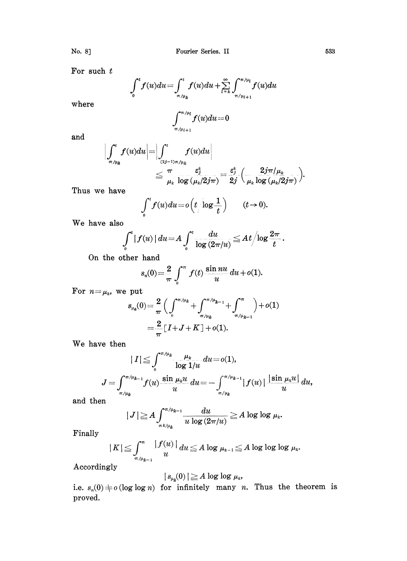For such  $t$ 

$$
\int_0^t f(u) du = \int_{\pi/\mu_k}^t f(u) du + \sum_{l=k}^\infty \int_{\pi/\mu_{l+1}}^{\pi/\mu_l} f(u) du
$$

where

$$
\int_{\pi/\mu_{l+1}}^{\pi/\mu_l} f(u)du = 0
$$

and

$$
\begin{aligned} \left|\int_{\pi/\mu_k}^t f(u) du \right|=& \left|\int_{\frac{(2j-1)\pi}{\mu_k}}^t f(u) du \right| \\ & \leq \frac{\pi}{\mu_k} \frac{\varepsilon_j^k}{\log\left(\mu_k/2j\pi\right)} = \frac{\varepsilon_j^k}{2j} \left(\frac{2j\pi/\mu_k}{\mu_k \log\left(\mu_k/2j\pi\right)}\right) \end{aligned}
$$

Thus we have

$$
\int_0^t f(u) du = o\left(t/\log\frac{1}{t}\right) \qquad (t\to 0).
$$

We have also

$$
\int_0^t |f(u)| du = A \int_0^t \frac{du}{\log(2\pi/u)} \leq At \Big/ \log \frac{2\pi}{t}.
$$

On the other hand

$$
s_n(0) = \frac{2}{\pi} \int_0^{\pi} f(t) \frac{\sin nu}{u} du + o(1).
$$

For  $n = \mu_k$ , we put

$$
s_{\mu_{\theta}}(0) = \frac{2}{\pi} \Big( \int_{0}^{\pi/\mu_{\theta}} + \int_{\pi/\mu_{\theta-1}}^{\pi/\mu_{\theta-1}} + \int_{\pi/\mu_{\theta-1}}^{\pi} \Big) + o(1)
$$
  
= 
$$
\frac{2}{\pi} [I + J + K] + o(1).
$$

We have then

$$
\vert\ I\vert\leqq\int_{0}^{\pi/\mu_{k}}\frac{\mu_{k}}{\log 1/u}du=o(1),\\ J=\int_{\pi/\mu_{k}}^{\pi/\mu_{k-1}}f(u)\frac{\sin\mu_{k}u}{u}du=-\int_{\pi/\mu_{k}}^{\pi/\mu_{k-1}}\vert\,f(u)\,\vert\,\frac{\vert\sin\mu_{k}u\vert}{u}\,du,
$$

and then

$$
|J| \ge A \int_{\pi k/\mu_k}^{\pi/\mu_{k-1}} \frac{du}{u \log(2\pi/u)} \ge A \log \log \mu_k.
$$

Finally

$$
|K| \leq \int_{\pi/\mu_{k-1}}^{\pi} \frac{|f(u)|}{u} du \leq A \log \mu_{k-1} \leq A \log \log \log \mu_k.
$$

Accordingly

$$
|s_{\mu_k}(0)| \geq A \log \log \mu_k,
$$

i.e.  $s_n(0) \neq o(\log \log n)$  for infinitely many *n*. Thus the theorem is proved.

No. 8]